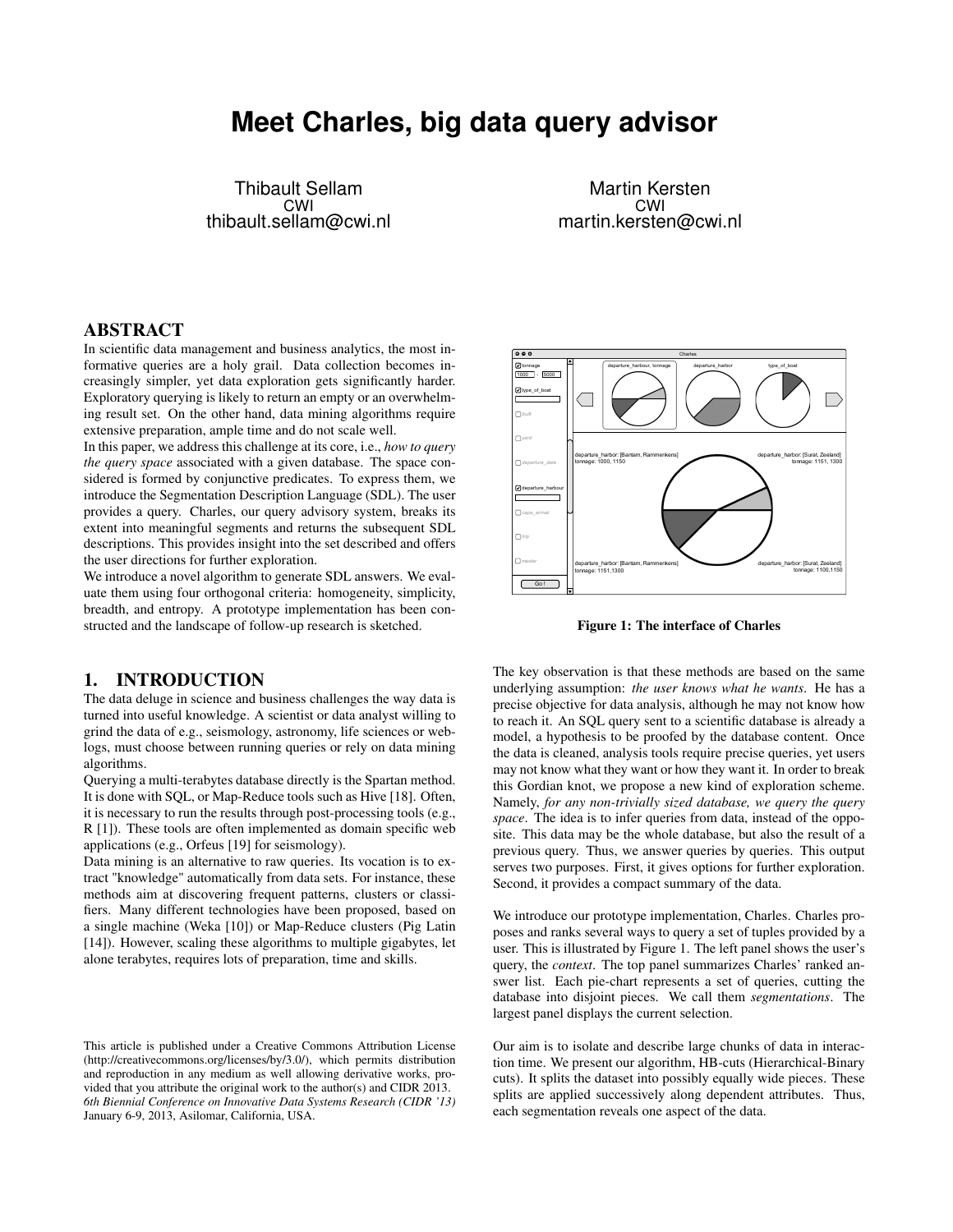# **Meet Charles, big data query advisor**

Thibault Sellam CWI thibault.sellam@cwi.nl

Martin Kersten CWI martin.kersten@cwi.nl

# ABSTRACT

In scientific data management and business analytics, the most informative queries are a holy grail. Data collection becomes increasingly simpler, yet data exploration gets significantly harder. Exploratory querying is likely to return an empty or an overwhelming result set. On the other hand, data mining algorithms require extensive preparation, ample time and do not scale well.

In this paper, we address this challenge at its core, i.e., *how to query the query space* associated with a given database. The space considered is formed by conjunctive predicates. To express them, we introduce the Segmentation Description Language (SDL). The user provides a query. Charles, our query advisory system, breaks its extent into meaningful segments and returns the subsequent SDL descriptions. This provides insight into the set described and offers the user directions for further exploration.

We introduce a novel algorithm to generate SDL answers. We evaluate them using four orthogonal criteria: homogeneity, simplicity, breadth, and entropy. A prototype implementation has been constructed and the landscape of follow-up research is sketched.

#### 1. INTRODUCTION

The data deluge in science and business challenges the way data is turned into useful knowledge. A scientist or data analyst willing to grind the data of e.g., seismology, astronomy, life sciences or weblogs, must choose between running queries or rely on data mining algorithms.

Querying a multi-terabytes database directly is the Spartan method. It is done with SQL, or Map-Reduce tools such as Hive [18]. Often, it is necessary to run the results through post-processing tools (e.g., R [1]). These tools are often implemented as domain specific web applications (e.g., Orfeus [19] for seismology).

Data mining is an alternative to raw queries. Its vocation is to extract "knowledge" automatically from data sets. For instance, these methods aim at discovering frequent patterns, clusters or classifiers. Many different technologies have been proposed, based on a single machine (Weka [10]) or Map-Reduce clusters (Pig Latin [14]). However, scaling these algorithms to multiple gigabytes, let alone terabytes, requires lots of preparation, time and skills.



Figure 1: The interface of Charles

The key observation is that these methods are based on the same underlying assumption: *the user knows what he wants*. He has a precise objective for data analysis, although he may not know how to reach it. An SQL query sent to a scientific database is already a model, a hypothesis to be proofed by the database content. Once the data is cleaned, analysis tools require precise queries, yet users may not know what they want or how they want it. In order to break this Gordian knot, we propose a new kind of exploration scheme. Namely, *for any non-trivially sized database, we query the query space*. The idea is to infer queries from data, instead of the opposite. This data may be the whole database, but also the result of a previous query. Thus, we answer queries by queries. This output serves two purposes. First, it gives options for further exploration. Second, it provides a compact summary of the data.

We introduce our prototype implementation, Charles. Charles proposes and ranks several ways to query a set of tuples provided by a user. This is illustrated by Figure 1. The left panel shows the user's query, the *context*. The top panel summarizes Charles' ranked answer list. Each pie-chart represents a set of queries, cutting the database into disjoint pieces. We call them *segmentations*. The largest panel displays the current selection.

Our aim is to isolate and describe large chunks of data in interaction time. We present our algorithm, HB-cuts (Hierarchical-Binary cuts). It splits the dataset into possibly equally wide pieces. These splits are applied successively along dependent attributes. Thus, each segmentation reveals one aspect of the data.

This article is published under a Creative Commons Attribution License (http://creativecommons.org/licenses/by/3.0/), which permits distribution and reproduction in any medium as well allowing derivative works, provided that you attribute the original work to the author(s) and CIDR 2013. *6th Biennial Conference on Innovative Data Systems Research (CIDR '13)* January 6-9, 2013, Asilomar, California, USA.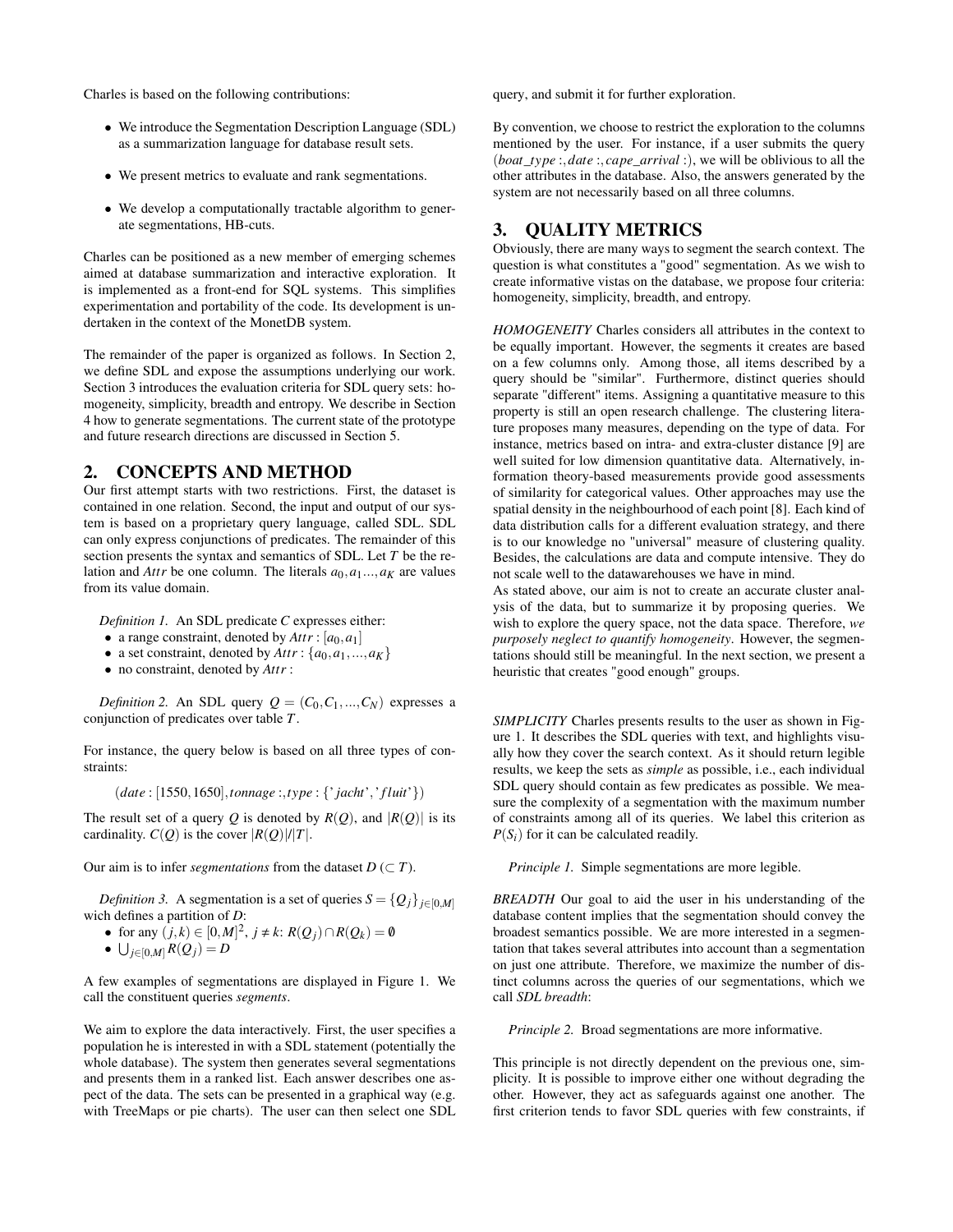Charles is based on the following contributions:

- We introduce the Segmentation Description Language (SDL) as a summarization language for database result sets.
- We present metrics to evaluate and rank segmentations.
- We develop a computationally tractable algorithm to generate segmentations, HB-cuts.

Charles can be positioned as a new member of emerging schemes aimed at database summarization and interactive exploration. It is implemented as a front-end for SQL systems. This simplifies experimentation and portability of the code. Its development is undertaken in the context of the MonetDB system.

The remainder of the paper is organized as follows. In Section 2, we define SDL and expose the assumptions underlying our work. Section 3 introduces the evaluation criteria for SDL query sets: homogeneity, simplicity, breadth and entropy. We describe in Section 4 how to generate segmentations. The current state of the prototype and future research directions are discussed in Section 5.

### 2. CONCEPTS AND METHOD

Our first attempt starts with two restrictions. First, the dataset is contained in one relation. Second, the input and output of our system is based on a proprietary query language, called SDL. SDL can only express conjunctions of predicates. The remainder of this section presents the syntax and semantics of SDL. Let *T* be the relation and *Attr* be one column. The literals  $a_0, a_1, \ldots, a_K$  are values from its value domain.

*Definition 1.* An SDL predicate *C* expresses either:

- a range constraint, denoted by  $Attr: [a_0, a_1]$
- a set constraint, denoted by  $Attr: \{a_0, a_1, ..., a_K\}$
- no constraint, denoted by *Attr* :

*Definition 2.* An SDL query  $Q = (C_0, C_1, ..., C_N)$  expresses a conjunction of predicates over table *T*.

For instance, the query below is based on all three types of constraints:

(*date* : [1550,1650],*tonnage* :,*type* : {'*jacht*','*f luit*'})

The result set of a query *Q* is denoted by  $R(Q)$ , and  $|R(Q)|$  is its cardinality.  $C(Q)$  is the cover  $|R(Q)|/|T|$ .

Our aim is to infer *segmentations* from the dataset  $D \subset T$ ).

*Definition 3.* A segmentation is a set of queries  $S = \{Q_j\}_{j \in [0,M]}$ wich defines a partition of *D*:

- $\bullet$  for any  $(j,k) \in [0,M]^2$ ,  $j \neq k$ :  $R(Q_j) \cap R(Q_k) = 0$
- $\bullet$  ∪ $_{j\in[0,M]}$   $R(Q_j) = D$

A few examples of segmentations are displayed in Figure 1. We call the constituent queries *segments*.

We aim to explore the data interactively. First, the user specifies a population he is interested in with a SDL statement (potentially the whole database). The system then generates several segmentations and presents them in a ranked list. Each answer describes one aspect of the data. The sets can be presented in a graphical way (e.g. with TreeMaps or pie charts). The user can then select one SDL query, and submit it for further exploration.

By convention, we choose to restrict the exploration to the columns mentioned by the user. For instance, if a user submits the query (*boat*\_*type* :,*date* :, *cape*\_*arrival* :), we will be oblivious to all the other attributes in the database. Also, the answers generated by the system are not necessarily based on all three columns.

# 3. QUALITY METRICS

Obviously, there are many ways to segment the search context. The question is what constitutes a "good" segmentation. As we wish to create informative vistas on the database, we propose four criteria: homogeneity, simplicity, breadth, and entropy.

*HOMOGENEITY* Charles considers all attributes in the context to be equally important. However, the segments it creates are based on a few columns only. Among those, all items described by a query should be "similar". Furthermore, distinct queries should separate "different" items. Assigning a quantitative measure to this property is still an open research challenge. The clustering literature proposes many measures, depending on the type of data. For instance, metrics based on intra- and extra-cluster distance [9] are well suited for low dimension quantitative data. Alternatively, information theory-based measurements provide good assessments of similarity for categorical values. Other approaches may use the spatial density in the neighbourhood of each point [8]. Each kind of data distribution calls for a different evaluation strategy, and there is to our knowledge no "universal" measure of clustering quality. Besides, the calculations are data and compute intensive. They do not scale well to the datawarehouses we have in mind.

As stated above, our aim is not to create an accurate cluster analysis of the data, but to summarize it by proposing queries. We wish to explore the query space, not the data space. Therefore, *we purposely neglect to quantify homogeneity*. However, the segmentations should still be meaningful. In the next section, we present a heuristic that creates "good enough" groups.

*SIMPLICITY* Charles presents results to the user as shown in Figure 1. It describes the SDL queries with text, and highlights visually how they cover the search context. As it should return legible results, we keep the sets as *simple* as possible, i.e., each individual SDL query should contain as few predicates as possible. We measure the complexity of a segmentation with the maximum number of constraints among all of its queries. We label this criterion as  $P(S_i)$  for it can be calculated readily.

*Principle 1.* Simple segmentations are more legible.

*BREADTH* Our goal to aid the user in his understanding of the database content implies that the segmentation should convey the broadest semantics possible. We are more interested in a segmentation that takes several attributes into account than a segmentation on just one attribute. Therefore, we maximize the number of distinct columns across the queries of our segmentations, which we call *SDL breadth*:

*Principle 2.* Broad segmentations are more informative.

This principle is not directly dependent on the previous one, simplicity. It is possible to improve either one without degrading the other. However, they act as safeguards against one another. The first criterion tends to favor SDL queries with few constraints, if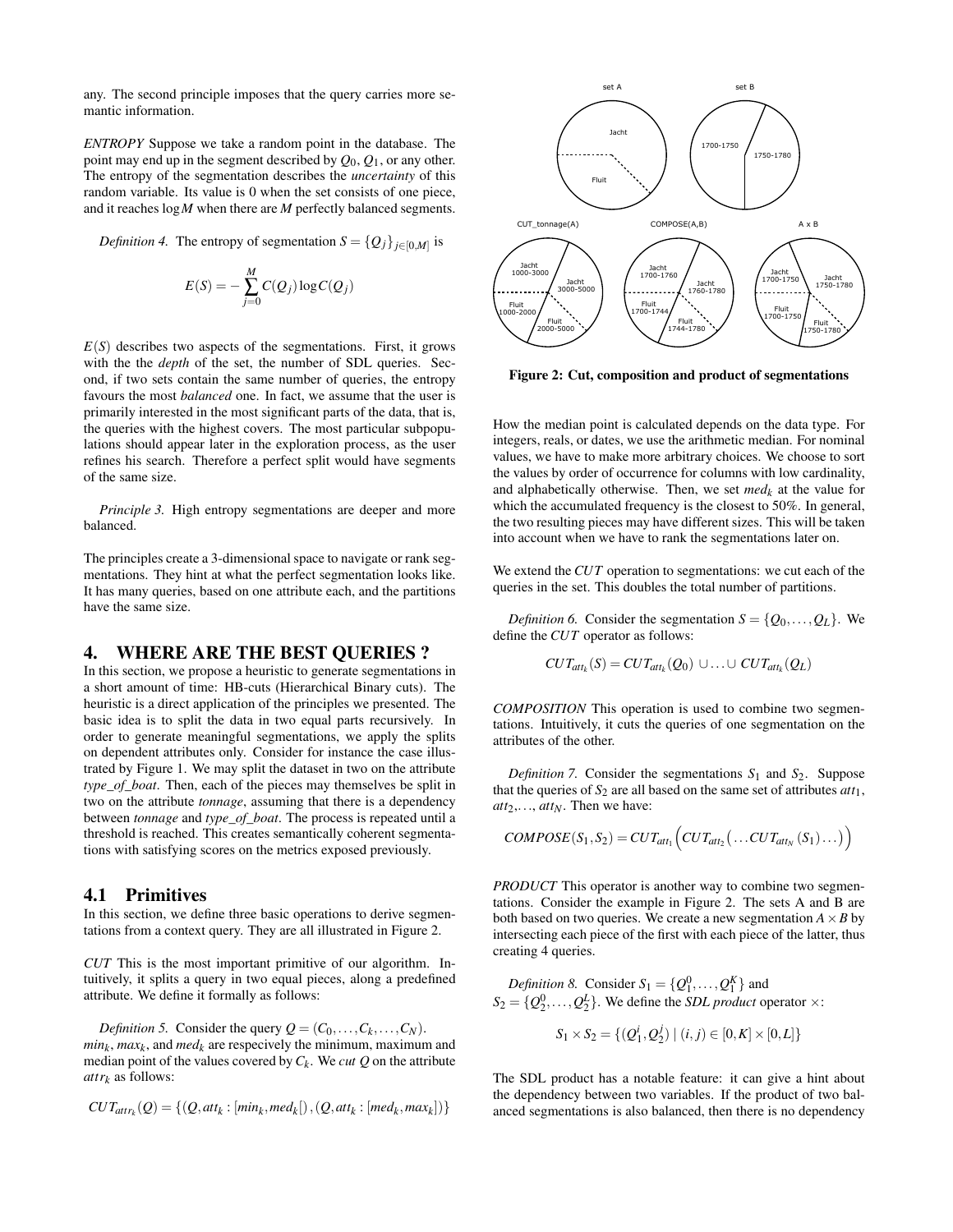any. The second principle imposes that the query carries more semantic information.

*ENTROPY* Suppose we take a random point in the database. The point may end up in the segment described by  $Q_0$ ,  $Q_1$ , or any other. The entropy of the segmentation describes the *uncertainty* of this random variable. Its value is 0 when the set consists of one piece, and it reaches log*M* when there are *M* perfectly balanced segments.

*Definition 4.* The entropy of segmentation  $S = \{Q_j\}_{j \in [0,M]}$  is

$$
E(S) = -\sum_{j=0}^{M} C(Q_j) \log C(Q_j)
$$

 $E(S)$  describes two aspects of the segmentations. First, it grows with the the *depth* of the set, the number of SDL queries. Second, if two sets contain the same number of queries, the entropy favours the most *balanced* one. In fact, we assume that the user is primarily interested in the most significant parts of the data, that is, the queries with the highest covers. The most particular subpopulations should appear later in the exploration process, as the user refines his search. Therefore a perfect split would have segments of the same size.

*Principle 3.* High entropy segmentations are deeper and more balanced.

The principles create a 3-dimensional space to navigate or rank segmentations. They hint at what the perfect segmentation looks like. It has many queries, based on one attribute each, and the partitions have the same size.

### 4. WHERE ARE THE BEST QUERIES ?

In this section, we propose a heuristic to generate segmentations in a short amount of time: HB-cuts (Hierarchical Binary cuts). The heuristic is a direct application of the principles we presented. The basic idea is to split the data in two equal parts recursively. In order to generate meaningful segmentations, we apply the splits on dependent attributes only. Consider for instance the case illustrated by Figure 1. We may split the dataset in two on the attribute *type\_of\_boat*. Then, each of the pieces may themselves be split in two on the attribute *tonnage*, assuming that there is a dependency between *tonnage* and *type\_of\_boat*. The process is repeated until a threshold is reached. This creates semantically coherent segmentations with satisfying scores on the metrics exposed previously.

#### 4.1 Primitives

In this section, we define three basic operations to derive segmentations from a context query. They are all illustrated in Figure 2.

*CUT* This is the most important primitive of our algorithm. Intuitively, it splits a query in two equal pieces, along a predefined attribute. We define it formally as follows:

*Definition 5.* Consider the query  $Q = (C_0, \ldots, C_k, \ldots, C_N)$ .  $min<sub>k</sub>$ ,  $max<sub>k</sub>$ , and  $med<sub>k</sub>$  are respecively the minimum, maximum and median point of the values covered by*C<sup>k</sup>* . We *cut Q* on the attribute *attr<sup>k</sup>* as follows:

$$
CUT_{attr_k}(Q) = \{ (Q, att_k : [min_k, med_k]), (Q, att_k : [med_k, max_k]) \}
$$



Figure 2: Cut, composition and product of segmentations

How the median point is calculated depends on the data type. For integers, reals, or dates, we use the arithmetic median. For nominal values, we have to make more arbitrary choices. We choose to sort the values by order of occurrence for columns with low cardinality, and alphabetically otherwise. Then, we set  $med_k$  at the value for which the accumulated frequency is the closest to 50%. In general, the two resulting pieces may have different sizes. This will be taken into account when we have to rank the segmentations later on.

We extend the *CUT* operation to segmentations: we cut each of the queries in the set. This doubles the total number of partitions.

*Definition 6.* Consider the segmentation  $S = \{Q_0, \ldots, Q_L\}$ . We define the *CUT* operator as follows:

$$
CUT_{att_k}(S)=CUT_{att_k}(Q_0)\cup\ldots\cup CUT_{att_k}(Q_L)
$$

*COMPOSITION* This operation is used to combine two segmentations. Intuitively, it cuts the queries of one segmentation on the attributes of the other.

*Definition 7.* Consider the segmentations  $S_1$  and  $S_2$ . Suppose that the queries of  $S_2$  are all based on the same set of attributes  $att_1$ , *att*2,..., *attN*. Then we have:

$$
COMPOSE(S_1, S_2) = CUT_{att_1}\Big(CUT_{att_2}\big(\ldots CUT_{att_N}(S_1)\ldots\big)\Big)
$$

*PRODUCT* This operator is another way to combine two segmentations. Consider the example in Figure 2. The sets A and B are both based on two queries. We create a new segmentation  $A \times B$  by intersecting each piece of the first with each piece of the latter, thus creating 4 queries.

*Definition 8.* Consider  $S_1 = \{Q_1^0, \ldots, Q_1^K\}$  and  $S_2 = \{Q_2^0, \ldots, Q_2^L\}$ . We define the *SDL product* operator  $\times$ :

$$
S_1 \times S_2 = \{ (Q_1^i, Q_2^j) \mid (i, j) \in [0, K] \times [0, L] \}
$$

The SDL product has a notable feature: it can give a hint about the dependency between two variables. If the product of two balanced segmentations is also balanced, then there is no dependency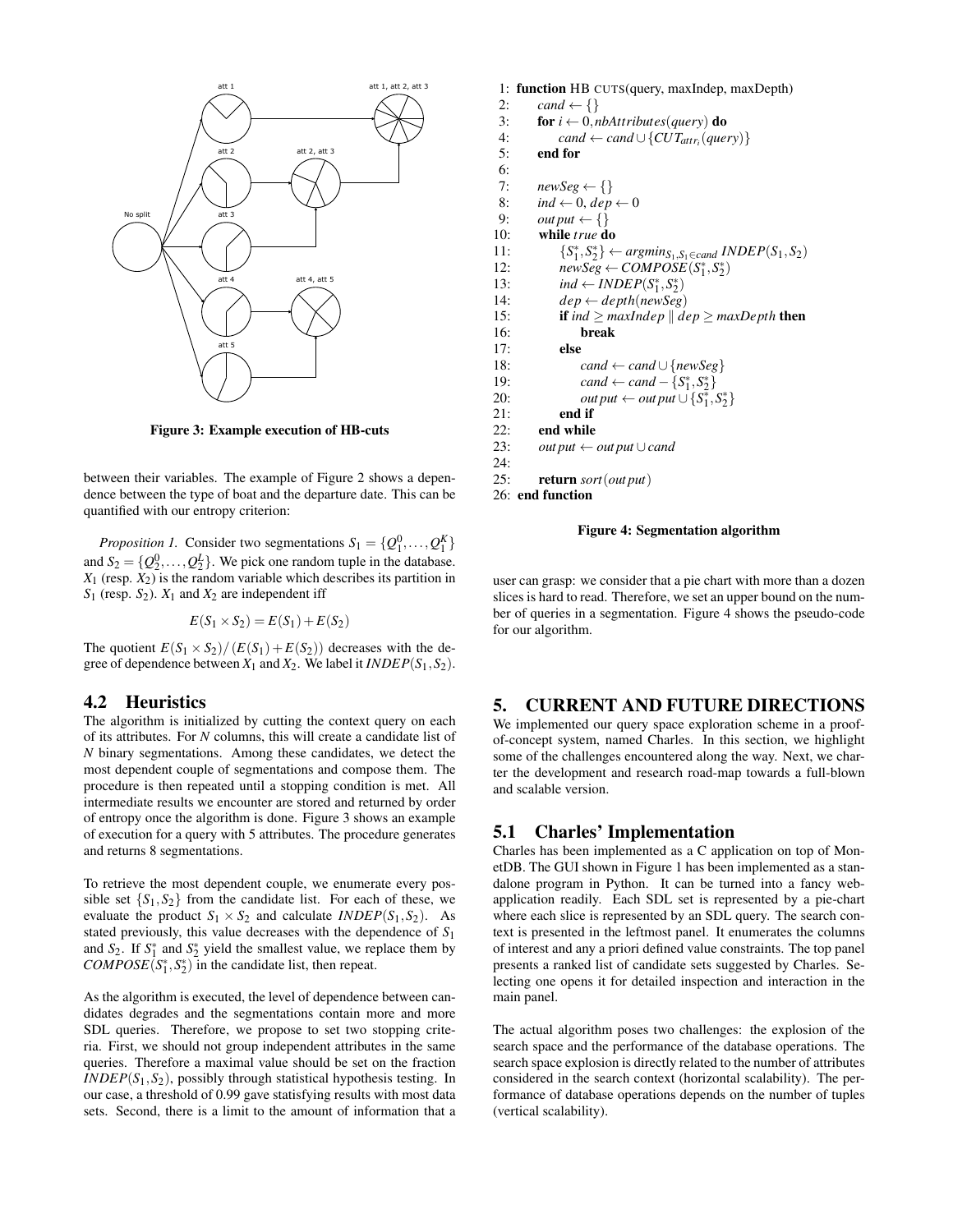

Figure 3: Example execution of HB-cuts

between their variables. The example of Figure 2 shows a dependence between the type of boat and the departure date. This can be quantified with our entropy criterion:

*Proposition 1.* Consider two segmentations  $S_1 = \{Q_1^0, \ldots, Q_1^K\}$ and  $S_2 = \{Q_2^0, \ldots, Q_2^L\}$ . We pick one random tuple in the database.  $X_1$  (resp.  $X_2$ ) is the random variable which describes its partition in  $S_1$  (resp.  $S_2$ ).  $X_1$  and  $X_2$  are independent iff

$$
E(S_1 \times S_2) = E(S_1) + E(S_2)
$$

The quotient  $E(S_1 \times S_2)/(E(S_1) + E(S_2))$  decreases with the degree of dependence between  $X_1$  and  $X_2$ . We label it  $INDEPEND(S_1, S_2)$ .

#### 4.2 Heuristics

The algorithm is initialized by cutting the context query on each of its attributes. For *N* columns, this will create a candidate list of *N* binary segmentations. Among these candidates, we detect the most dependent couple of segmentations and compose them. The procedure is then repeated until a stopping condition is met. All intermediate results we encounter are stored and returned by order of entropy once the algorithm is done. Figure 3 shows an example of execution for a query with 5 attributes. The procedure generates and returns 8 segmentations.

To retrieve the most dependent couple, we enumerate every possible set  ${S_1, S_2}$  from the candidate list. For each of these, we evaluate the product  $S_1 \times S_2$  and calculate *INDEP*( $S_1$ ,  $S_2$ ). As stated previously, this value decreases with the dependence of *S*<sup>1</sup> and  $S_2$ . If  $S_1^*$  and  $S_2^*$  yield the smallest value, we replace them by *COMPOSE* $(S_1^*, S_2^*)$  in the candidate list, then repeat.

As the algorithm is executed, the level of dependence between candidates degrades and the segmentations contain more and more SDL queries. Therefore, we propose to set two stopping criteria. First, we should not group independent attributes in the same queries. Therefore a maximal value should be set on the fraction *INDEP* $(S_1, S_2)$ , possibly through statistical hypothesis testing. In our case, a threshold of 0.99 gave statisfying results with most data sets. Second, there is a limit to the amount of information that a

```
1: function HB CUTS(query, maxIndep, maxDepth)
 2: cand \leftarrow \{\}3: for i \leftarrow 0, nbAttributes(query) do
 4: cand ← cand ∪ {CUT<sub>attr<sub>i</sub></sub>(query)}
 5: end for
 6:
 7: newSeg \leftarrow \{\}8: \qquad \text{ind} \leftarrow 0, \text{dep} \leftarrow 09: out put \leftarrow \{\}10: while true do
11: {S<sup>*</sup><sub>1</sub>, S<sup>*</sup><sub>2</sub>} ← argmin<sub>S<sub>1</sub>, S<sub>1</sub>∈cand INDEP(S<sub>1</sub>, S<sub>2</sub>)</sub>
12: newSeg \leftarrow COMPOSE(S_1^*, S_2^*)13: ind \leftarrow INDEPENDP(S_1^*, S_2^*)14: dep \leftarrow depth(newSeg)15: if ind \geq maxIndex \mid dep \geq maxDepth then
16: break<br>17: else
              else
18: cand ← cand ∪ {newSeg}
19: \text{cand} \leftarrow \text{cand} - \{S_1^*, S_2^*\}20: \qquad \qquad out\, put \leftarrow out\, put \cup \{S_1^*, S_2^*\}21: end if
22: end while
23: out put \leftarrow out put \cup cand
24:
25: return sort(out put)
26: end function
```
#### Figure 4: Segmentation algorithm

user can grasp: we consider that a pie chart with more than a dozen slices is hard to read. Therefore, we set an upper bound on the number of queries in a segmentation. Figure 4 shows the pseudo-code for our algorithm.

# 5. CURRENT AND FUTURE DIRECTIONS

We implemented our query space exploration scheme in a proofof-concept system, named Charles. In this section, we highlight some of the challenges encountered along the way. Next, we charter the development and research road-map towards a full-blown and scalable version.

#### 5.1 Charles' Implementation

Charles has been implemented as a C application on top of MonetDB. The GUI shown in Figure 1 has been implemented as a standalone program in Python. It can be turned into a fancy webapplication readily. Each SDL set is represented by a pie-chart where each slice is represented by an SDL query. The search context is presented in the leftmost panel. It enumerates the columns of interest and any a priori defined value constraints. The top panel presents a ranked list of candidate sets suggested by Charles. Selecting one opens it for detailed inspection and interaction in the main panel.

The actual algorithm poses two challenges: the explosion of the search space and the performance of the database operations. The search space explosion is directly related to the number of attributes considered in the search context (horizontal scalability). The performance of database operations depends on the number of tuples (vertical scalability).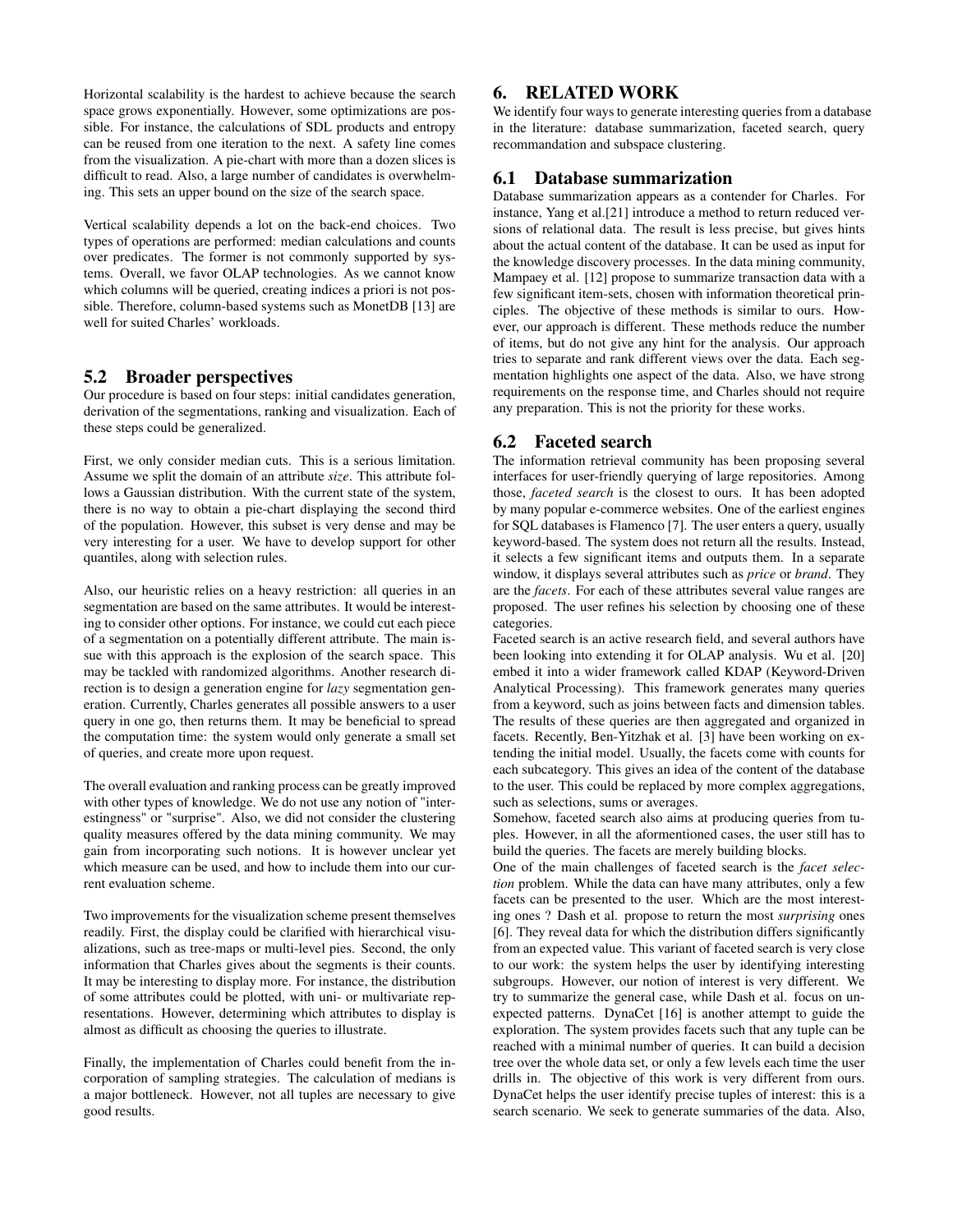Horizontal scalability is the hardest to achieve because the search space grows exponentially. However, some optimizations are possible. For instance, the calculations of SDL products and entropy can be reused from one iteration to the next. A safety line comes from the visualization. A pie-chart with more than a dozen slices is difficult to read. Also, a large number of candidates is overwhelming. This sets an upper bound on the size of the search space.

Vertical scalability depends a lot on the back-end choices. Two types of operations are performed: median calculations and counts over predicates. The former is not commonly supported by systems. Overall, we favor OLAP technologies. As we cannot know which columns will be queried, creating indices a priori is not possible. Therefore, column-based systems such as MonetDB [13] are well for suited Charles' workloads.

# 5.2 Broader perspectives

Our procedure is based on four steps: initial candidates generation, derivation of the segmentations, ranking and visualization. Each of these steps could be generalized.

First, we only consider median cuts. This is a serious limitation. Assume we split the domain of an attribute *size*. This attribute follows a Gaussian distribution. With the current state of the system, there is no way to obtain a pie-chart displaying the second third of the population. However, this subset is very dense and may be very interesting for a user. We have to develop support for other quantiles, along with selection rules.

Also, our heuristic relies on a heavy restriction: all queries in an segmentation are based on the same attributes. It would be interesting to consider other options. For instance, we could cut each piece of a segmentation on a potentially different attribute. The main issue with this approach is the explosion of the search space. This may be tackled with randomized algorithms. Another research direction is to design a generation engine for *lazy* segmentation generation. Currently, Charles generates all possible answers to a user query in one go, then returns them. It may be beneficial to spread the computation time: the system would only generate a small set of queries, and create more upon request.

The overall evaluation and ranking process can be greatly improved with other types of knowledge. We do not use any notion of "interestingness" or "surprise". Also, we did not consider the clustering quality measures offered by the data mining community. We may gain from incorporating such notions. It is however unclear yet which measure can be used, and how to include them into our current evaluation scheme.

Two improvements for the visualization scheme present themselves readily. First, the display could be clarified with hierarchical visualizations, such as tree-maps or multi-level pies. Second, the only information that Charles gives about the segments is their counts. It may be interesting to display more. For instance, the distribution of some attributes could be plotted, with uni- or multivariate representations. However, determining which attributes to display is almost as difficult as choosing the queries to illustrate.

Finally, the implementation of Charles could benefit from the incorporation of sampling strategies. The calculation of medians is a major bottleneck. However, not all tuples are necessary to give good results.

# 6. RELATED WORK

We identify four ways to generate interesting queries from a database in the literature: database summarization, faceted search, query recommandation and subspace clustering.

# 6.1 Database summarization

Database summarization appears as a contender for Charles. For instance, Yang et al.[21] introduce a method to return reduced versions of relational data. The result is less precise, but gives hints about the actual content of the database. It can be used as input for the knowledge discovery processes. In the data mining community, Mampaey et al. [12] propose to summarize transaction data with a few significant item-sets, chosen with information theoretical principles. The objective of these methods is similar to ours. However, our approach is different. These methods reduce the number of items, but do not give any hint for the analysis. Our approach tries to separate and rank different views over the data. Each segmentation highlights one aspect of the data. Also, we have strong requirements on the response time, and Charles should not require any preparation. This is not the priority for these works.

# 6.2 Faceted search

The information retrieval community has been proposing several interfaces for user-friendly querying of large repositories. Among those, *faceted search* is the closest to ours. It has been adopted by many popular e-commerce websites. One of the earliest engines for SQL databases is Flamenco [7]. The user enters a query, usually keyword-based. The system does not return all the results. Instead, it selects a few significant items and outputs them. In a separate window, it displays several attributes such as *price* or *brand*. They are the *facets*. For each of these attributes several value ranges are proposed. The user refines his selection by choosing one of these categories.

Faceted search is an active research field, and several authors have been looking into extending it for OLAP analysis. Wu et al. [20] embed it into a wider framework called KDAP (Keyword-Driven Analytical Processing). This framework generates many queries from a keyword, such as joins between facts and dimension tables. The results of these queries are then aggregated and organized in facets. Recently, Ben-Yitzhak et al. [3] have been working on extending the initial model. Usually, the facets come with counts for each subcategory. This gives an idea of the content of the database to the user. This could be replaced by more complex aggregations, such as selections, sums or averages.

Somehow, faceted search also aims at producing queries from tuples. However, in all the aformentioned cases, the user still has to build the queries. The facets are merely building blocks.

One of the main challenges of faceted search is the *facet selection* problem. While the data can have many attributes, only a few facets can be presented to the user. Which are the most interesting ones ? Dash et al. propose to return the most *surprising* ones [6]. They reveal data for which the distribution differs significantly from an expected value. This variant of faceted search is very close to our work: the system helps the user by identifying interesting subgroups. However, our notion of interest is very different. We try to summarize the general case, while Dash et al. focus on unexpected patterns. DynaCet [16] is another attempt to guide the exploration. The system provides facets such that any tuple can be reached with a minimal number of queries. It can build a decision tree over the whole data set, or only a few levels each time the user drills in. The objective of this work is very different from ours. DynaCet helps the user identify precise tuples of interest: this is a search scenario. We seek to generate summaries of the data. Also,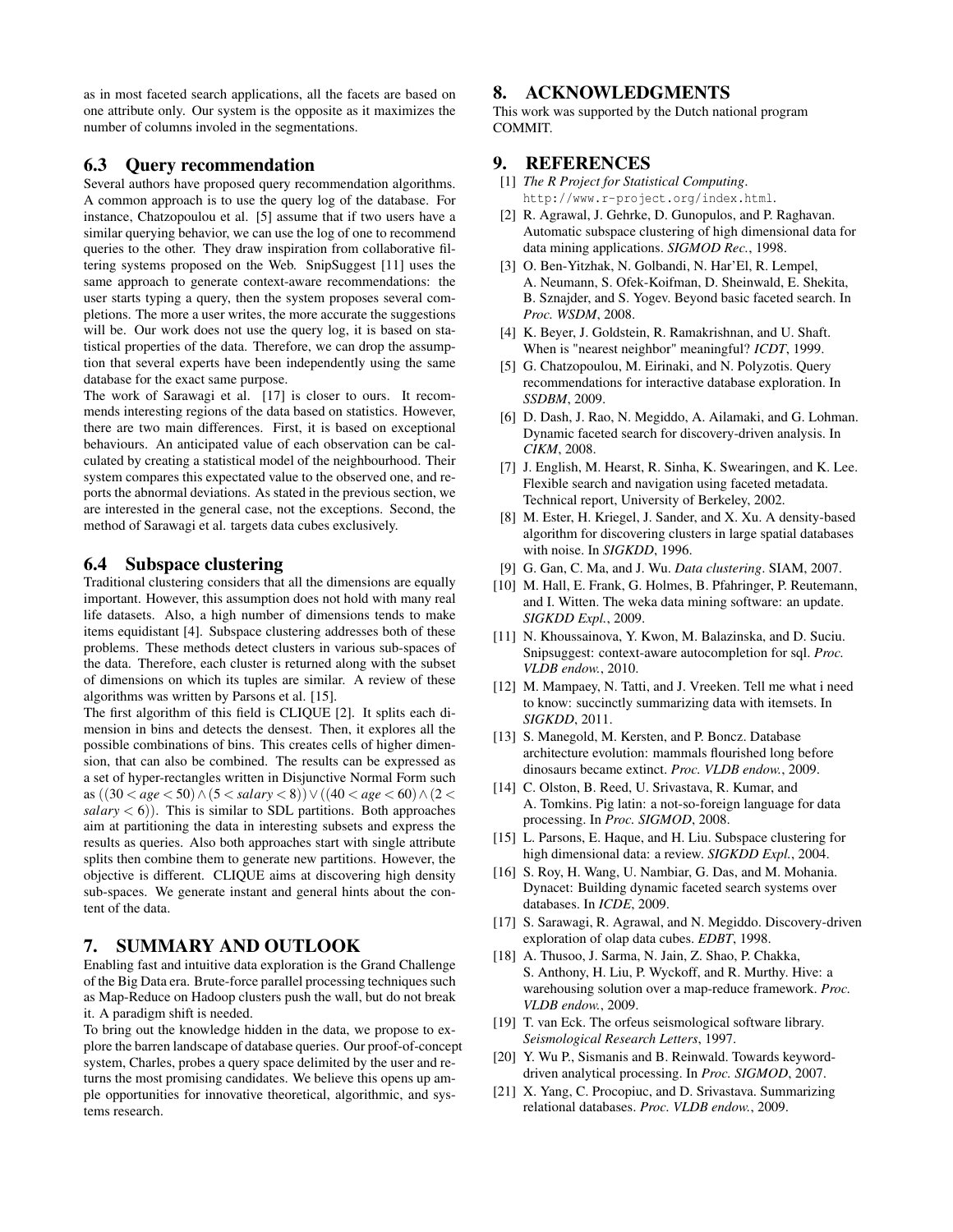as in most faceted search applications, all the facets are based on one attribute only. Our system is the opposite as it maximizes the number of columns involed in the segmentations.

# 6.3 Query recommendation

Several authors have proposed query recommendation algorithms. A common approach is to use the query log of the database. For instance, Chatzopoulou et al. [5] assume that if two users have a similar querying behavior, we can use the log of one to recommend queries to the other. They draw inspiration from collaborative filtering systems proposed on the Web. SnipSuggest [11] uses the same approach to generate context-aware recommendations: the user starts typing a query, then the system proposes several completions. The more a user writes, the more accurate the suggestions will be. Our work does not use the query log, it is based on statistical properties of the data. Therefore, we can drop the assumption that several experts have been independently using the same database for the exact same purpose.

The work of Sarawagi et al. [17] is closer to ours. It recommends interesting regions of the data based on statistics. However, there are two main differences. First, it is based on exceptional behaviours. An anticipated value of each observation can be calculated by creating a statistical model of the neighbourhood. Their system compares this expectated value to the observed one, and reports the abnormal deviations. As stated in the previous section, we are interested in the general case, not the exceptions. Second, the method of Sarawagi et al. targets data cubes exclusively.

# 6.4 Subspace clustering

Traditional clustering considers that all the dimensions are equally important. However, this assumption does not hold with many real life datasets. Also, a high number of dimensions tends to make items equidistant [4]. Subspace clustering addresses both of these problems. These methods detect clusters in various sub-spaces of the data. Therefore, each cluster is returned along with the subset of dimensions on which its tuples are similar. A review of these algorithms was written by Parsons et al. [15].

The first algorithm of this field is CLIQUE [2]. It splits each dimension in bins and detects the densest. Then, it explores all the possible combinations of bins. This creates cells of higher dimension, that can also be combined. The results can be expressed as a set of hyper-rectangles written in Disjunctive Normal Form such as ((30 < *age* < 50)∧(5 < *salary* < 8))∨((40 < *age* < 60)∧(2 <  $salary < 6$ )). This is similar to SDL partitions. Both approaches aim at partitioning the data in interesting subsets and express the results as queries. Also both approaches start with single attribute splits then combine them to generate new partitions. However, the objective is different. CLIQUE aims at discovering high density sub-spaces. We generate instant and general hints about the content of the data.

# 7. SUMMARY AND OUTLOOK

Enabling fast and intuitive data exploration is the Grand Challenge of the Big Data era. Brute-force parallel processing techniques such as Map-Reduce on Hadoop clusters push the wall, but do not break it. A paradigm shift is needed.

To bring out the knowledge hidden in the data, we propose to explore the barren landscape of database queries. Our proof-of-concept system, Charles, probes a query space delimited by the user and returns the most promising candidates. We believe this opens up ample opportunities for innovative theoretical, algorithmic, and systems research.

# 8. ACKNOWLEDGMENTS

This work was supported by the Dutch national program COMMIT.

# 9. REFERENCES

- [1] *The R Project for Statistical Computing*. http://www.r-project.org/index.html.
- [2] R. Agrawal, J. Gehrke, D. Gunopulos, and P. Raghavan. Automatic subspace clustering of high dimensional data for data mining applications. *SIGMOD Rec.*, 1998.
- [3] O. Ben-Yitzhak, N. Golbandi, N. Har'El, R. Lempel, A. Neumann, S. Ofek-Koifman, D. Sheinwald, E. Shekita, B. Sznajder, and S. Yogev. Beyond basic faceted search. In *Proc. WSDM*, 2008.
- [4] K. Beyer, J. Goldstein, R. Ramakrishnan, and U. Shaft. When is "nearest neighbor" meaningful? *ICDT*, 1999.
- [5] G. Chatzopoulou, M. Eirinaki, and N. Polyzotis. Query recommendations for interactive database exploration. In *SSDBM*, 2009.
- [6] D. Dash, J. Rao, N. Megiddo, A. Ailamaki, and G. Lohman. Dynamic faceted search for discovery-driven analysis. In *CIKM*, 2008.
- [7] J. English, M. Hearst, R. Sinha, K. Swearingen, and K. Lee. Flexible search and navigation using faceted metadata. Technical report, University of Berkeley, 2002.
- [8] M. Ester, H. Kriegel, J. Sander, and X. Xu. A density-based algorithm for discovering clusters in large spatial databases with noise. In *SIGKDD*, 1996.
- [9] G. Gan, C. Ma, and J. Wu. *Data clustering*. SIAM, 2007.
- [10] M. Hall, E. Frank, G. Holmes, B. Pfahringer, P. Reutemann, and I. Witten. The weka data mining software: an update. *SIGKDD Expl.*, 2009.
- [11] N. Khoussainova, Y. Kwon, M. Balazinska, and D. Suciu. Snipsuggest: context-aware autocompletion for sql. *Proc. VLDB endow.*, 2010.
- [12] M. Mampaey, N. Tatti, and J. Vreeken. Tell me what i need to know: succinctly summarizing data with itemsets. In *SIGKDD*, 2011.
- [13] S. Manegold, M. Kersten, and P. Boncz. Database architecture evolution: mammals flourished long before dinosaurs became extinct. *Proc. VLDB endow.*, 2009.
- [14] C. Olston, B. Reed, U. Srivastava, R. Kumar, and A. Tomkins. Pig latin: a not-so-foreign language for data processing. In *Proc. SIGMOD*, 2008.
- [15] L. Parsons, E. Haque, and H. Liu. Subspace clustering for high dimensional data: a review. *SIGKDD Expl.*, 2004.
- [16] S. Roy, H. Wang, U. Nambiar, G. Das, and M. Mohania. Dynacet: Building dynamic faceted search systems over databases. In *ICDE*, 2009.
- [17] S. Sarawagi, R. Agrawal, and N. Megiddo. Discovery-driven exploration of olap data cubes. *EDBT*, 1998.
- [18] A. Thusoo, J. Sarma, N. Jain, Z. Shao, P. Chakka, S. Anthony, H. Liu, P. Wyckoff, and R. Murthy. Hive: a warehousing solution over a map-reduce framework. *Proc. VLDB endow.*, 2009.
- [19] T. van Eck. The orfeus seismological software library. *Seismological Research Letters*, 1997.
- [20] Y. Wu P., Sismanis and B. Reinwald. Towards keyworddriven analytical processing. In *Proc. SIGMOD*, 2007.
- [21] X. Yang, C. Procopiuc, and D. Srivastava. Summarizing relational databases. *Proc. VLDB endow.*, 2009.